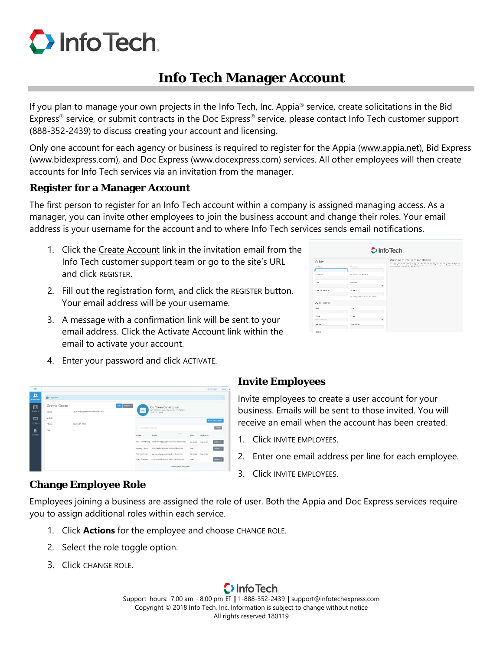# $\bullet$  Info Tech.

# **Info Tech Manager Account**

If you plan to manage your own projects in the Info Tech, Inc. Appia<sup>®</sup> service, create solicitations in the Bid Express<sup>®</sup> service, or submit contracts in the Doc Express<sup>®</sup> service, please contact Info Tech customer support (888-352-2439) to discuss creating your account and licensing.

Only one account for each agency or business is required to register for the Appia (www.appia.net), Bid Express (www.bidexpress.com), and Doc Express (www.docexpress.com) services. All other employees will then create accounts for Info Tech services via an invitation from the manager.

### **Register for a Manager Account**

The first person to register for an Info Tech account within a company is assigned managing access. As a manager, you can invite other employees to join the business account and change their roles. Your email address is your username for the account and to where Info Tech services sends email notifications.

- 1. Click the Create Account link in the invitation email from the Info Tech customer support team or go to the site's URL and click REGISTER.
- 2. Fill out the registration form, and click the REGISTER button. Your email address will be your username.
- 3. A message with a confirmation link will be sent to your email address. Click the Activate Account link within the email to activate your account.
- $D$  Info Tech. My Info Welcome to Info Tech registration<br>Introducer at already when the person control tech Westerlands at a<br>consider the summarization follows and makes the control technology and<br>consider an continuum frequency. taatan<br>|<br>Taliha . . . . . . . My Busin

4. Enter your password and click ACTIVATE.



## **Invite Employees**

Invite employees to create a user account for your business. Emails will be sent to those invited. You will receive an email when the account has been created.

- 1. Click INVITE EMPLOYEES.
- 2. Enter one email address per line for each employee.
- 3. Click INVITE EMPLOYEES.

## **Change Employee Role**

Employees joining a business are assigned the role of user. Both the Appia and Doc Express services require you to assign additional roles within each service.

- 1. Click **Actions** for the employee and choose CHANGE ROLE.
- 2. Select the role toggle option.
- 3. Click CHANGE ROLE.

Support hours: 7:00 am - 8:00 pm ET | 1-888-352-2439 | support@infotechexpress.com Copyright © 2018 Info Tech, Inc. Information is subject to change without notice All rights reserved 180119